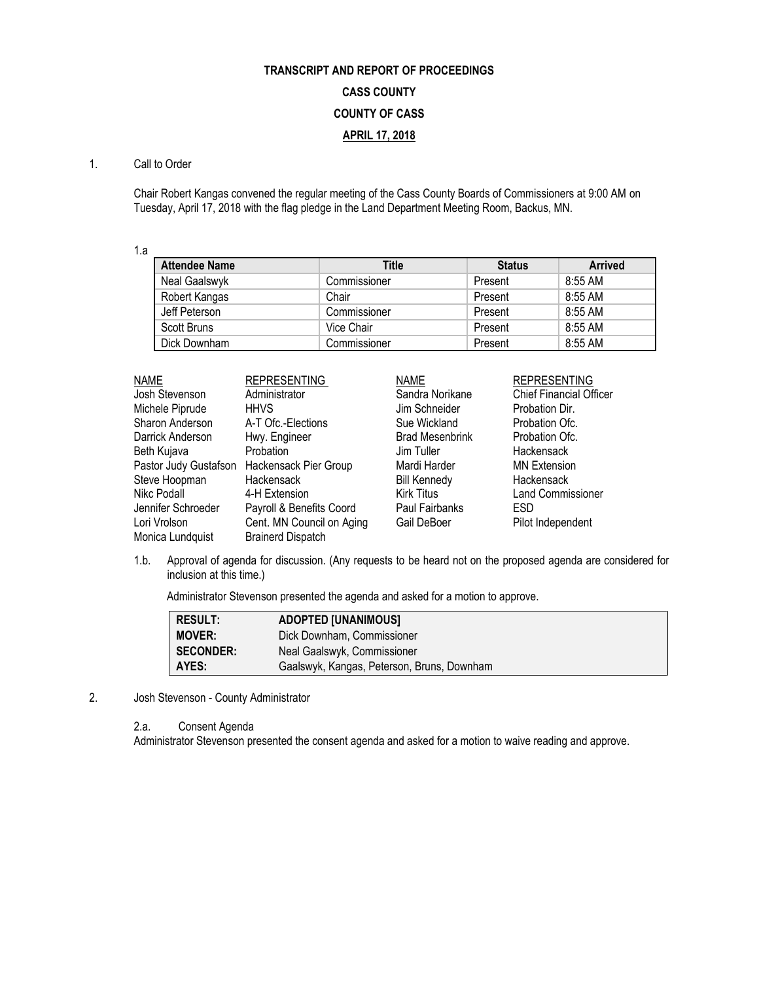# **TRANSCRIPT AND REPORT OF PROCEEDINGS CASS COUNTY COUNTY OF CASS APRIL 17, 2018**

### 1. Call to Order

Chair Robert Kangas convened the regular meeting of the Cass County Boards of Commissioners at 9:00 AM on Tuesday, April 17, 2018 with the flag pledge in the Land Department Meeting Room, Backus, MN.

1.a

| <b>Attendee Name</b> | Title        | <b>Status</b> | <b>Arrived</b> |
|----------------------|--------------|---------------|----------------|
| Neal Gaalswyk        | Commissioner | Present       | $8:55$ AM      |
| Robert Kangas        | Chair        | Present       | 8:55 AM        |
| Jeff Peterson        | Commissioner | Present       | 8:55 AM        |
| Scott Bruns          | Vice Chair   | Present       | $8:55$ AM      |
| Dick Downham         | Commissioner | Present       | 8:55 AM        |

| <b>NAME</b>           | <b>REPRESENTING</b>       | <b>NAME</b>            | <b>REPRESENTING</b>            |
|-----------------------|---------------------------|------------------------|--------------------------------|
| Josh Stevenson        | Administrator             | Sandra Norikane        | <b>Chief Financial Officer</b> |
| Michele Piprude       | <b>HHVS</b>               | Jim Schneider          | Probation Dir.                 |
| Sharon Anderson       | A-T Ofc.-Elections        | Sue Wickland           | Probation Ofc.                 |
| Darrick Anderson      | Hwy. Engineer             | <b>Brad Mesenbrink</b> | Probation Ofc.                 |
| Beth Kujava           | <b>Probation</b>          | Jim Tuller             | Hackensack                     |
| Pastor Judy Gustafson | Hackensack Pier Group     | Mardi Harder           | <b>MN Extension</b>            |
| Steve Hoopman         | Hackensack                | <b>Bill Kennedy</b>    | Hackensack                     |
| Nikc Podall           | 4-H Extension             | <b>Kirk Titus</b>      | <b>Land Commissioner</b>       |
| Jennifer Schroeder    | Payroll & Benefits Coord  | Paul Fairbanks         | <b>ESD</b>                     |
| Lori Vrolson          | Cent. MN Council on Aging | Gail DeBoer            | Pilot Independent              |
| Monica Lundquist      | <b>Brainerd Dispatch</b>  |                        |                                |

1.b. Approval of agenda for discussion. (Any requests to be heard not on the proposed agenda are considered for inclusion at this time.)

Administrator Stevenson presented the agenda and asked for a motion to approve.

| <b>RESULT:</b>   | <b>ADOPTED [UNANIMOUS]</b>                 |
|------------------|--------------------------------------------|
| <b>MOVER:</b>    | Dick Downham, Commissioner                 |
| <b>SECONDER:</b> | Neal Gaalswyk, Commissioner                |
| AYES:            | Gaalswyk, Kangas, Peterson, Bruns, Downham |

2. Josh Stevenson - County Administrator

2.a. Consent Agenda

Administrator Stevenson presented the consent agenda and asked for a motion to waive reading and approve.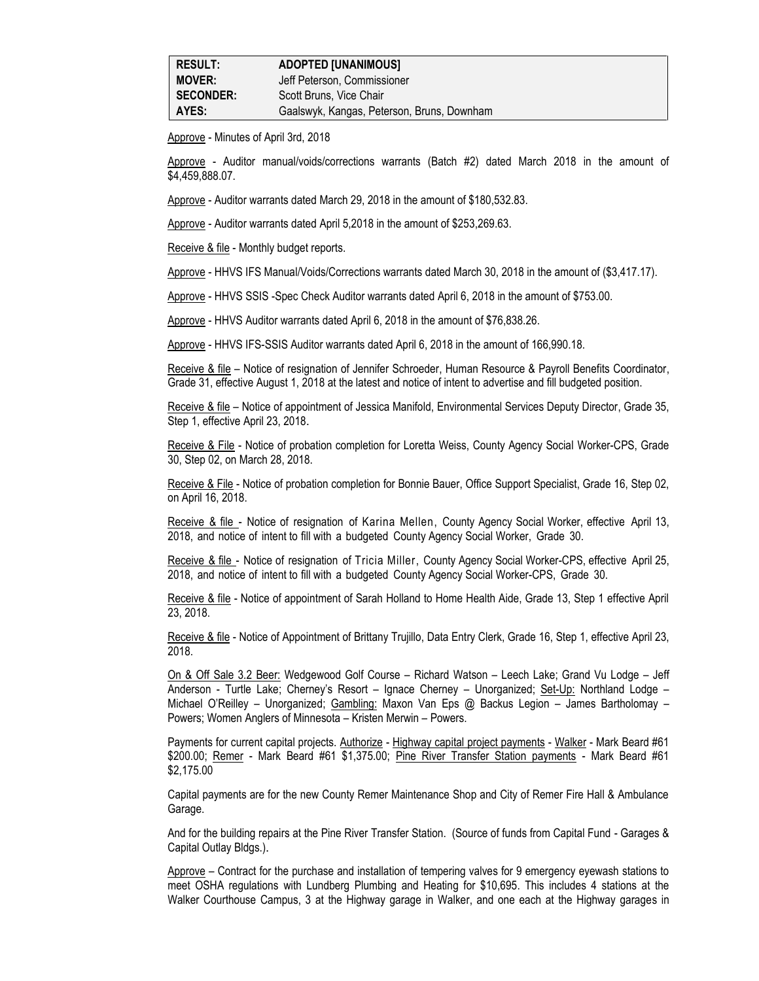Approve - Minutes of April 3rd, 2018

Approve - Auditor manual/voids/corrections warrants (Batch #2) dated March 2018 in the amount of \$4,459,888.07.

Approve - Auditor warrants dated March 29, 2018 in the amount of \$180,532.83.

Approve - Auditor warrants dated April 5,2018 in the amount of \$253,269.63.

Receive & file - Monthly budget reports.

Approve - HHVS IFS Manual/Voids/Corrections warrants dated March 30, 2018 in the amount of (\$3,417.17).

Approve - HHVS SSIS -Spec Check Auditor warrants dated April 6, 2018 in the amount of \$753.00.

Approve - HHVS Auditor warrants dated April 6, 2018 in the amount of \$76,838.26.

Approve - HHVS IFS-SSIS Auditor warrants dated April 6, 2018 in the amount of 166,990.18.

Receive & file – Notice of resignation of Jennifer Schroeder, Human Resource & Payroll Benefits Coordinator, Grade 31, effective August 1, 2018 at the latest and notice of intent to advertise and fill budgeted position.

Receive & file - Notice of appointment of Jessica Manifold, Environmental Services Deputy Director, Grade 35, Step 1, effective April 23, 2018.

Receive & File - Notice of probation completion for Loretta Weiss, County Agency Social Worker-CPS, Grade 30, Step 02, on March 28, 2018.

Receive & File - Notice of probation completion for Bonnie Bauer, Office Support Specialist, Grade 16, Step 02, on April 16, 2018.

Receive & file - Notice of resignation of Karina Mellen, County Agency Social Worker, effective April 13, 2018, and notice of intent to fill with a budgeted County Agency Social Worker, Grade 30.

Receive & file - Notice of resignation of Tricia Miller, County Agency Social Worker-CPS, effective April 25, 2018, and notice of intent to fill with a budgeted County Agency Social Worker-CPS, Grade 30.

Receive & file - Notice of appointment of Sarah Holland to Home Health Aide, Grade 13, Step 1 effective April 23, 2018.

Receive & file - Notice of Appointment of Brittany Trujillo, Data Entry Clerk, Grade 16, Step 1, effective April 23, 2018.

On & Off Sale 3.2 Beer: Wedgewood Golf Course – Richard Watson – Leech Lake; Grand Vu Lodge – Jeff Anderson - Turtle Lake; Cherney's Resort – Ignace Cherney – Unorganized; Set-Up: Northland Lodge – Michael O'Reilley – Unorganized; Gambling: Maxon Van Eps @ Backus Legion – James Bartholomay – Powers; Women Anglers of Minnesota – Kristen Merwin – Powers.

Payments for current capital projects. Authorize - Highway capital project payments - Walker - Mark Beard #61 \$200.00; Remer - Mark Beard #61 \$1,375.00; Pine River Transfer Station payments - Mark Beard #61 \$2,175.00

Capital payments are for the new County Remer Maintenance Shop and City of Remer Fire Hall & Ambulance Garage.

And for the building repairs at the Pine River Transfer Station. (Source of funds from Capital Fund - Garages & Capital Outlay Bldgs.).

Approve – Contract for the purchase and installation of tempering valves for 9 emergency eyewash stations to meet OSHA regulations with Lundberg Plumbing and Heating for \$10,695. This includes 4 stations at the Walker Courthouse Campus, 3 at the Highway garage in Walker, and one each at the Highway garages in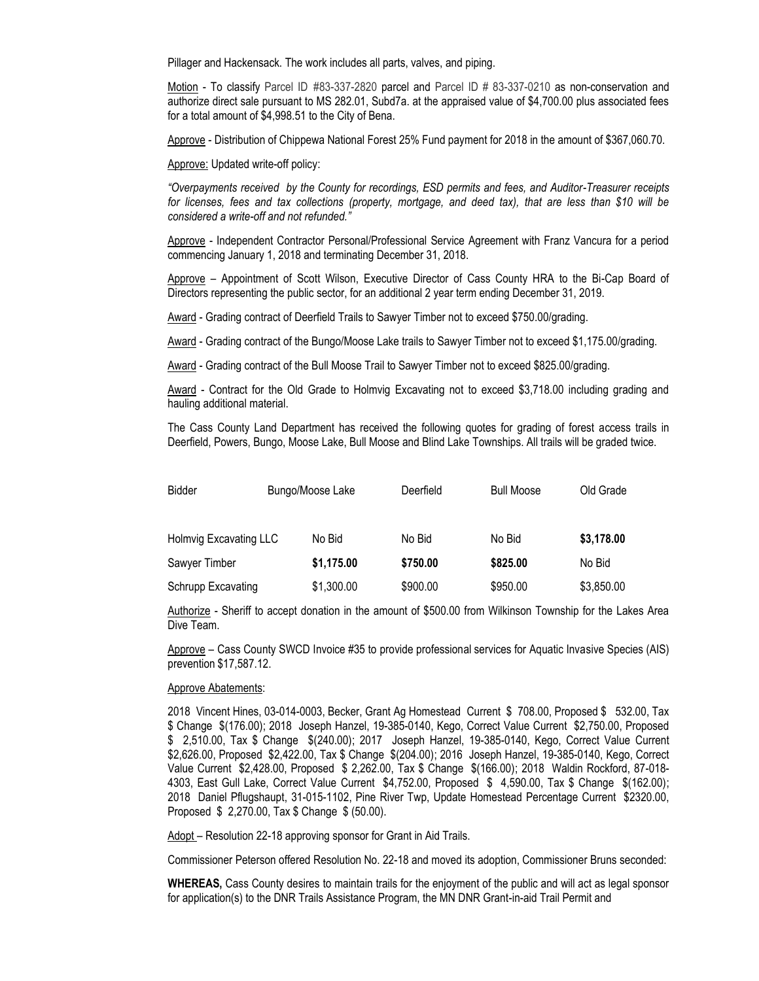Pillager and Hackensack. The work includes all parts, valves, and piping.

Motion - To classify Parcel ID #83-337-2820 parcel and Parcel ID # 83-337-0210 as non-conservation and authorize direct sale pursuant to MS 282.01, Subd7a. at the appraised value of \$4,700.00 plus associated fees for a total amount of \$4,998.51 to the City of Bena.

Approve - Distribution of Chippewa National Forest 25% Fund payment for 2018 in the amount of \$367,060.70.

Approve: Updated write-off policy:

*"Overpayments received by the County for recordings, ESD permits and fees, and Auditor-Treasurer receipts for licenses, fees and tax collections (property, mortgage, and deed tax), that are less than \$10 will be considered a write-off and not refunded."*

Approve - Independent Contractor Personal/Professional Service Agreement with Franz Vancura for a period commencing January 1, 2018 and terminating December 31, 2018.

Approve – Appointment of Scott Wilson, Executive Director of Cass County HRA to the Bi-Cap Board of Directors representing the public sector, for an additional 2 year term ending December 31, 2019.

Award - Grading contract of Deerfield Trails to Sawyer Timber not to exceed \$750.00/grading.

Award - Grading contract of the Bungo/Moose Lake trails to Sawyer Timber not to exceed \$1,175.00/grading.

Award - Grading contract of the Bull Moose Trail to Sawyer Timber not to exceed \$825.00/grading.

Award - Contract for the Old Grade to Holmvig Excavating not to exceed \$3,718.00 including grading and hauling additional material.

The Cass County Land Department has received the following quotes for grading of forest access trails in Deerfield, Powers, Bungo, Moose Lake, Bull Moose and Blind Lake Townships. All trails will be graded twice.

| <b>Bidder</b>          | Bungo/Moose Lake | Deerfield | <b>Bull Moose</b> | Old Grade  |
|------------------------|------------------|-----------|-------------------|------------|
| Holmvig Excavating LLC | No Bid           | No Bid    | No Bid            | \$3,178.00 |
| Sawyer Timber          | \$1,175.00       | \$750.00  | \$825.00          | No Bid     |
| Schrupp Excavating     | \$1,300.00       | \$900.00  | \$950.00          | \$3,850.00 |

Authorize - Sheriff to accept donation in the amount of \$500.00 from Wilkinson Township for the Lakes Area Dive Team.

Approve – Cass County SWCD Invoice #35 to provide professional services for Aquatic Invasive Species (AIS) prevention \$17,587.12.

#### Approve Abatements:

2018 Vincent Hines, 03-014-0003, Becker, Grant Ag Homestead Current \$ 708.00, Proposed \$ 532.00, Tax \$ Change \$(176.00); 2018 Joseph Hanzel, 19-385-0140, Kego, Correct Value Current \$2,750.00, Proposed \$ 2,510.00, Tax \$ Change \$(240.00); 2017 Joseph Hanzel, 19-385-0140, Kego, Correct Value Current \$2,626.00, Proposed \$2,422.00, Tax \$ Change \$(204.00); 2016 Joseph Hanzel, 19-385-0140, Kego, Correct Value Current \$2,428.00, Proposed \$ 2,262.00, Tax \$ Change \$(166.00); 2018 Waldin Rockford, 87-018- 4303, East Gull Lake, Correct Value Current \$4,752.00, Proposed \$ 4,590.00, Tax \$ Change \$(162.00); 2018 Daniel Pflugshaupt, 31-015-1102, Pine River Twp, Update Homestead Percentage Current \$2320.00, Proposed \$ 2,270.00, Tax \$ Change \$ (50.00).

Adopt – Resolution 22-18 approving sponsor for Grant in Aid Trails.

Commissioner Peterson offered Resolution No. 22-18 and moved its adoption, Commissioner Bruns seconded:

**WHEREAS,** Cass County desires to maintain trails for the enjoyment of the public and will act as legal sponsor for application(s) to the DNR Trails Assistance Program, the MN DNR Grant-in-aid Trail Permit and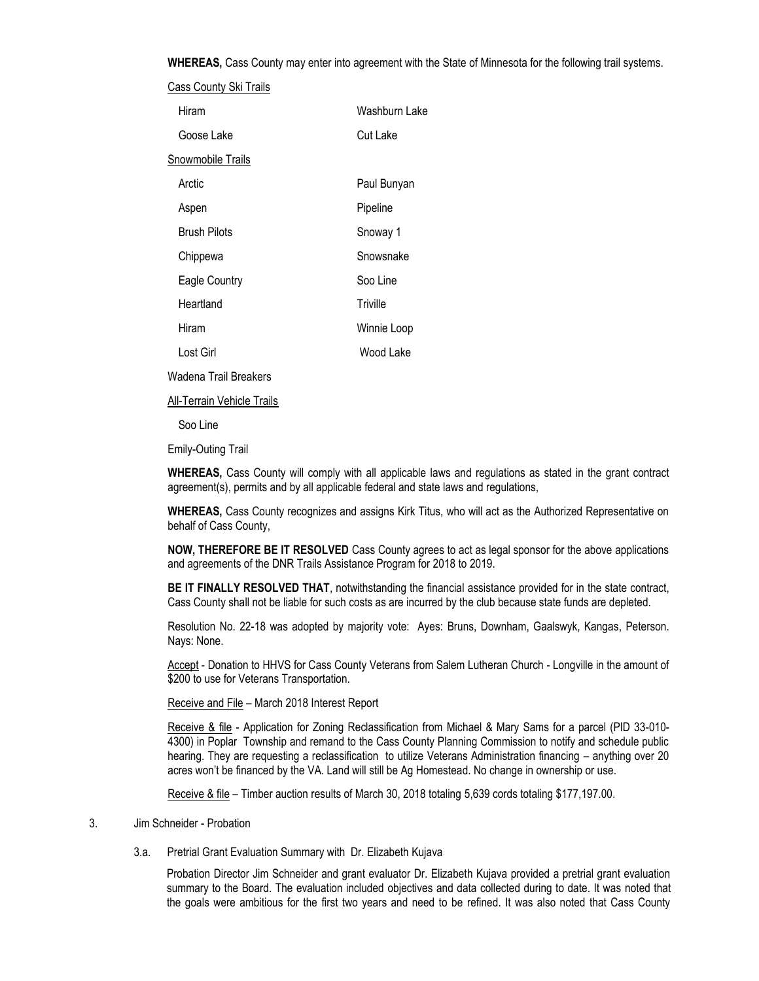**WHEREAS,** Cass County may enter into agreement with the State of Minnesota for the following trail systems.

|                     | Cass County Ski Trails |               |
|---------------------|------------------------|---------------|
| Hiram               |                        | Washburn Lake |
| Goose Lake          |                        | Cut Lake      |
| Snowmobile Trails   |                        |               |
| Arctic              |                        | Paul Bunyan   |
| Aspen               |                        | Pipeline      |
| <b>Brush Pilots</b> |                        | Snoway 1      |
| Chippewa            |                        | Snowsnake     |
| Eagle Country       |                        | Soo Line      |
| Heartland           |                        | Triville      |
| Hiram               |                        | Winnie Loop   |
| Lost Girl           |                        | Wood Lake     |
|                     |                        |               |

Wadena Trail Breakers

All-Terrain Vehicle Trails

Soo Line

Emily-Outing Trail

**WHEREAS,** Cass County will comply with all applicable laws and regulations as stated in the grant contract agreement(s), permits and by all applicable federal and state laws and regulations,

**WHEREAS,** Cass County recognizes and assigns Kirk Titus, who will act as the Authorized Representative on behalf of Cass County,

**NOW, THEREFORE BE IT RESOLVED** Cass County agrees to act as legal sponsor for the above applications and agreements of the DNR Trails Assistance Program for 2018 to 2019.

**BE IT FINALLY RESOLVED THAT**, notwithstanding the financial assistance provided for in the state contract, Cass County shall not be liable for such costs as are incurred by the club because state funds are depleted.

Resolution No. 22-18 was adopted by majority vote: Ayes: Bruns, Downham, Gaalswyk, Kangas, Peterson. Nays: None.

Accept - Donation to HHVS for Cass County Veterans from Salem Lutheran Church - Longville in the amount of \$200 to use for Veterans Transportation.

Receive and File – March 2018 Interest Report

Receive & file - Application for Zoning Reclassification from Michael & Mary Sams for a parcel (PID 33-010- 4300) in Poplar Township and remand to the Cass County Planning Commission to notify and schedule public hearing. They are requesting a reclassification to utilize Veterans Administration financing – anything over 20 acres won't be financed by the VA. Land will still be Ag Homestead. No change in ownership or use.

Receive & file – Timber auction results of March 30, 2018 totaling 5,639 cords totaling \$177,197.00.

#### 3. Jim Schneider - Probation

3.a. Pretrial Grant Evaluation Summary with Dr. Elizabeth Kujava

Probation Director Jim Schneider and grant evaluator Dr. Elizabeth Kujava provided a pretrial grant evaluation summary to the Board. The evaluation included objectives and data collected during to date. It was noted that the goals were ambitious for the first two years and need to be refined. It was also noted that Cass County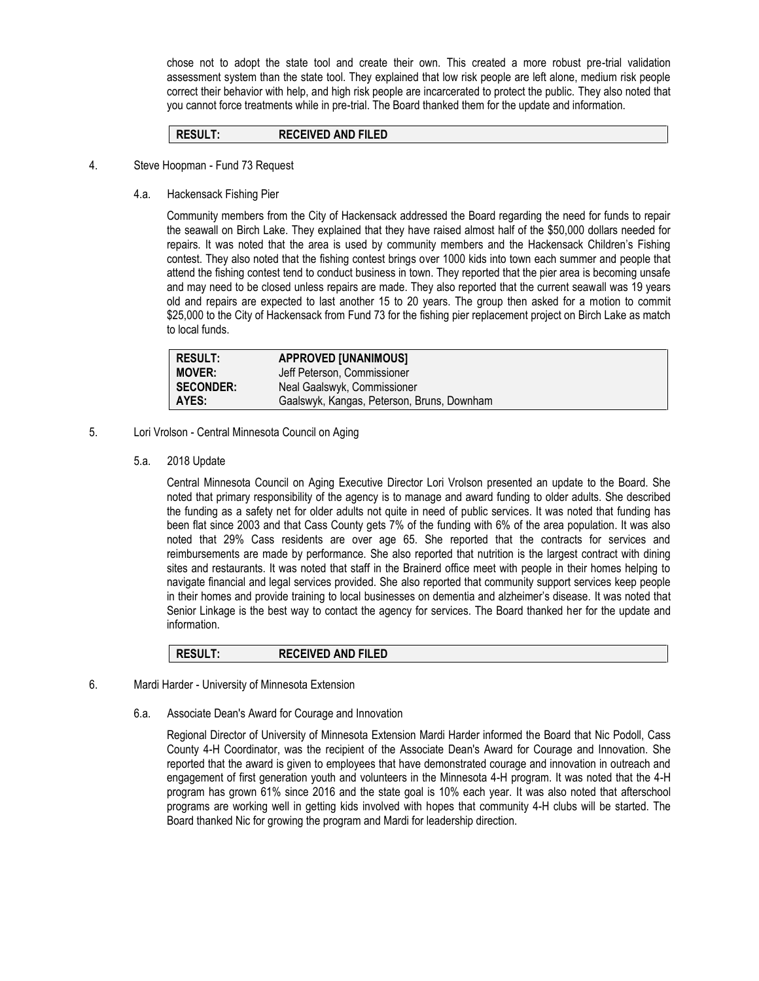chose not to adopt the state tool and create their own. This created a more robust pre-trial validation assessment system than the state tool. They explained that low risk people are left alone, medium risk people correct their behavior with help, and high risk people are incarcerated to protect the public. They also noted that you cannot force treatments while in pre-trial. The Board thanked them for the update and information.

#### **RESULT: RECEIVED AND FILED**

- 4. Steve Hoopman Fund 73 Request
	- 4.a. Hackensack Fishing Pier

Community members from the City of Hackensack addressed the Board regarding the need for funds to repair the seawall on Birch Lake. They explained that they have raised almost half of the \$50,000 dollars needed for repairs. It was noted that the area is used by community members and the Hackensack Children's Fishing contest. They also noted that the fishing contest brings over 1000 kids into town each summer and people that attend the fishing contest tend to conduct business in town. They reported that the pier area is becoming unsafe and may need to be closed unless repairs are made. They also reported that the current seawall was 19 years old and repairs are expected to last another 15 to 20 years. The group then asked for a motion to commit \$25,000 to the City of Hackensack from Fund 73 for the fishing pier replacement project on Birch Lake as match to local funds.

| RESULT:          | <b>APPROVED [UNANIMOUS]</b>                |
|------------------|--------------------------------------------|
| <b>MOVER:</b>    | Jeff Peterson, Commissioner                |
| <b>SECONDER:</b> | Neal Gaalswyk, Commissioner                |
| AYES:            | Gaalswyk, Kangas, Peterson, Bruns, Downham |

- 5. Lori Vrolson Central Minnesota Council on Aging
	- 5.a. 2018 Update

Central Minnesota Council on Aging Executive Director Lori Vrolson presented an update to the Board. She noted that primary responsibility of the agency is to manage and award funding to older adults. She described the funding as a safety net for older adults not quite in need of public services. It was noted that funding has been flat since 2003 and that Cass County gets 7% of the funding with 6% of the area population. It was also noted that 29% Cass residents are over age 65. She reported that the contracts for services and reimbursements are made by performance. She also reported that nutrition is the largest contract with dining sites and restaurants. It was noted that staff in the Brainerd office meet with people in their homes helping to navigate financial and legal services provided. She also reported that community support services keep people in their homes and provide training to local businesses on dementia and alzheimer's disease. It was noted that Senior Linkage is the best way to contact the agency for services. The Board thanked her for the update and information.

| <b>RESULT:</b> | <b>RECEIVED AND FILED</b> |  |
|----------------|---------------------------|--|
|----------------|---------------------------|--|

- 6. Mardi Harder University of Minnesota Extension
	- 6.a. Associate Dean's Award for Courage and Innovation

Regional Director of University of Minnesota Extension Mardi Harder informed the Board that Nic Podoll, Cass County 4-H Coordinator, was the recipient of the Associate Dean's Award for Courage and Innovation. She reported that the award is given to employees that have demonstrated courage and innovation in outreach and engagement of first generation youth and volunteers in the Minnesota 4-H program. It was noted that the 4-H program has grown 61% since 2016 and the state goal is 10% each year. It was also noted that afterschool programs are working well in getting kids involved with hopes that community 4-H clubs will be started. The Board thanked Nic for growing the program and Mardi for leadership direction.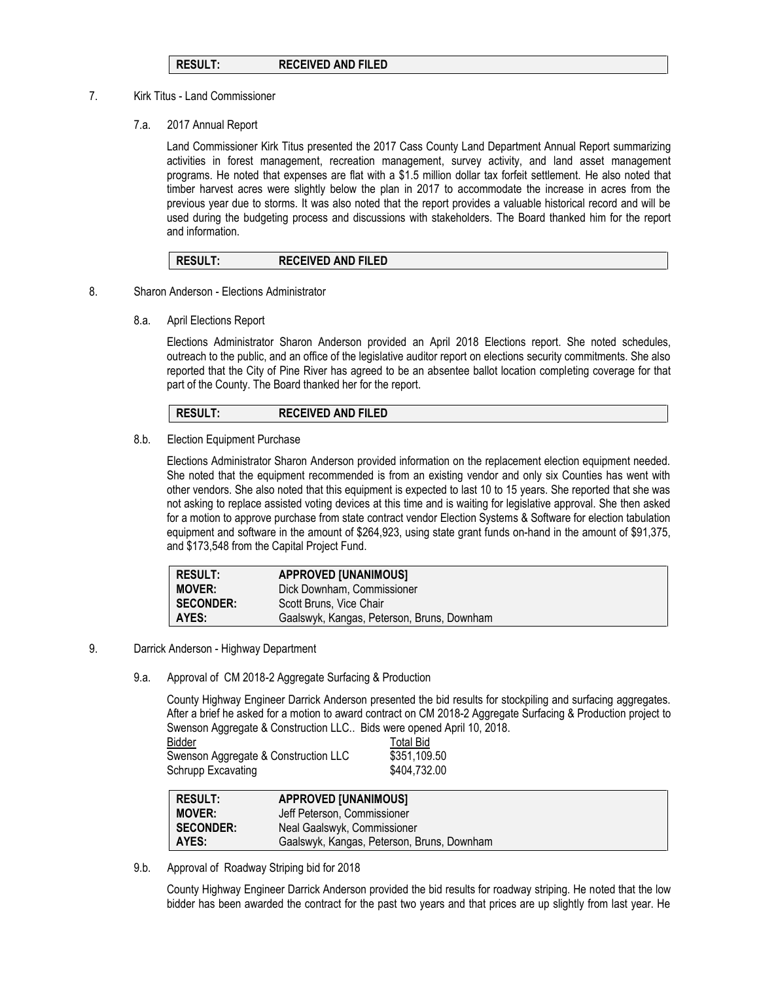### **RESULT: RECEIVED AND FILED**

#### 7. Kirk Titus - Land Commissioner

7.a. 2017 Annual Report

Land Commissioner Kirk Titus presented the 2017 Cass County Land Department Annual Report summarizing activities in forest management, recreation management, survey activity, and land asset management programs. He noted that expenses are flat with a \$1.5 million dollar tax forfeit settlement. He also noted that timber harvest acres were slightly below the plan in 2017 to accommodate the increase in acres from the previous year due to storms. It was also noted that the report provides a valuable historical record and will be used during the budgeting process and discussions with stakeholders. The Board thanked him for the report and information.

| <b>RESULT.</b> | <b>RECEIVED AND FILED</b> |  |
|----------------|---------------------------|--|
|----------------|---------------------------|--|

- 8. Sharon Anderson Elections Administrator
	- 8.a. April Elections Report

Elections Administrator Sharon Anderson provided an April 2018 Elections report. She noted schedules, outreach to the public, and an office of the legislative auditor report on elections security commitments. She also reported that the City of Pine River has agreed to be an absentee ballot location completing coverage for that part of the County. The Board thanked her for the report.

# **RESULT: RECEIVED AND FILED**

8.b. Election Equipment Purchase

Elections Administrator Sharon Anderson provided information on the replacement election equipment needed. She noted that the equipment recommended is from an existing vendor and only six Counties has went with other vendors. She also noted that this equipment is expected to last 10 to 15 years. She reported that she was not asking to replace assisted voting devices at this time and is waiting for legislative approval. She then asked for a motion to approve purchase from state contract vendor Election Systems & Software for election tabulation equipment and software in the amount of \$264,923, using state grant funds on-hand in the amount of \$91,375, and \$173,548 from the Capital Project Fund.

| <b>RESULT:</b>   | <b>APPROVED [UNANIMOUS]</b>                |
|------------------|--------------------------------------------|
| <b>MOVER:</b>    | Dick Downham, Commissioner                 |
| <b>SECONDER:</b> | Scott Bruns, Vice Chair                    |
| AYES:            | Gaalswyk, Kangas, Peterson, Bruns, Downham |

- 9. Darrick Anderson Highway Department
	- 9.a. Approval of CM 2018-2 Aggregate Surfacing & Production

County Highway Engineer Darrick Anderson presented the bid results for stockpiling and surfacing aggregates. After a brief he asked for a motion to award contract on CM 2018-2 Aggregate Surfacing & Production project to Swenson Aggregate & Construction LLC.. Bids were opened April 10, 2018.

| ີ                                    |                  |
|--------------------------------------|------------------|
| Bidder                               | <b>Total Bid</b> |
| Swenson Aggregate & Construction LLC | \$351,109.50     |
| Schrupp Excavating                   | \$404,732.00     |

| <b>RESULT:</b>   | <b>APPROVED [UNANIMOUS]</b>                |
|------------------|--------------------------------------------|
| <b>MOVER:</b>    | Jeff Peterson, Commissioner                |
| <b>SECONDER:</b> | Neal Gaalswyk, Commissioner                |
| AYES:            | Gaalswyk, Kangas, Peterson, Bruns, Downham |

9.b. Approval of Roadway Striping bid for 2018

County Highway Engineer Darrick Anderson provided the bid results for roadway striping. He noted that the low bidder has been awarded the contract for the past two years and that prices are up slightly from last year. He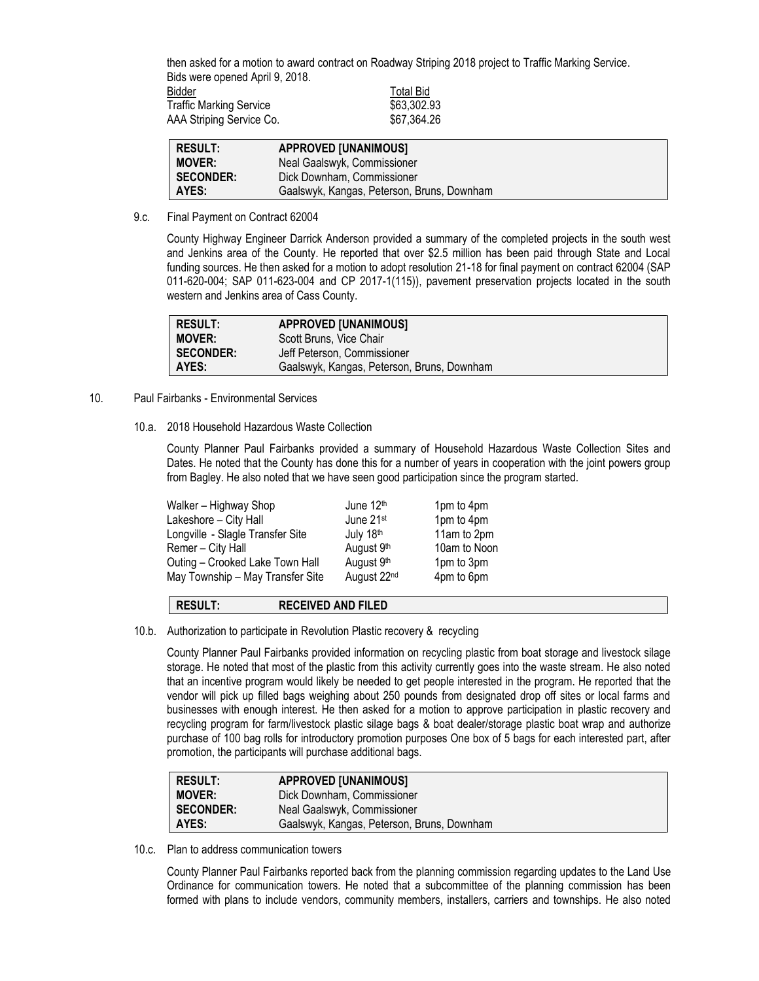then asked for a motion to award contract on Roadway Striping 2018 project to Traffic Marking Service. Bids were opened April 9, 2018. Bidder **Bidder** Total Bid Traffic Marking Service \$63,302.93 AAA Striping Service Co.  $$67,364.26$ 

| <b>RESULT:</b>   | <b>APPROVED [UNANIMOUS]</b>                |  |
|------------------|--------------------------------------------|--|
| <b>MOVER:</b>    | Neal Gaalswyk, Commissioner                |  |
| <b>SECONDER:</b> | Dick Downham, Commissioner                 |  |
| AYES:            | Gaalswyk, Kangas, Peterson, Bruns, Downham |  |

9.c. Final Payment on Contract 62004

County Highway Engineer Darrick Anderson provided a summary of the completed projects in the south west and Jenkins area of the County. He reported that over \$2.5 million has been paid through State and Local funding sources. He then asked for a motion to adopt resolution 21-18 for final payment on contract 62004 (SAP 011-620-004; SAP 011-623-004 and CP 2017-1(115)), pavement preservation projects located in the south western and Jenkins area of Cass County.

| RESULT:          | <b>APPROVED [UNANIMOUS]</b>                |
|------------------|--------------------------------------------|
| <b>MOVER:</b>    | Scott Bruns, Vice Chair                    |
| <b>SECONDER:</b> | Jeff Peterson. Commissioner                |
| AYES:            | Gaalswyk, Kangas, Peterson, Bruns, Downham |

- 10. Paul Fairbanks Environmental Services
	- 10.a. 2018 Household Hazardous Waste Collection

County Planner Paul Fairbanks provided a summary of Household Hazardous Waste Collection Sites and Dates. He noted that the County has done this for a number of years in cooperation with the joint powers group from Bagley. He also noted that we have seen good participation since the program started.

| Walker - Highway Shop            | June 12th             | 1pm to 4pm   |
|----------------------------------|-----------------------|--------------|
| Lakeshore - City Hall            | June 21 <sup>st</sup> | 1pm to 4pm   |
| Longville - Slagle Transfer Site | July 18th             | 11am to 2pm  |
| Remer – City Hall                | August 9th            | 10am to Noon |
| Outing - Crooked Lake Town Hall  | August 9th            | 1pm to 3pm   |
| May Township - May Transfer Site | August 22nd           | 4pm to 6pm   |
|                                  |                       |              |

# **RESULT: RECEIVED AND FILED**

10.b. Authorization to participate in Revolution Plastic recovery & recycling

County Planner Paul Fairbanks provided information on recycling plastic from boat storage and livestock silage storage. He noted that most of the plastic from this activity currently goes into the waste stream. He also noted that an incentive program would likely be needed to get people interested in the program. He reported that the vendor will pick up filled bags weighing about 250 pounds from designated drop off sites or local farms and businesses with enough interest. He then asked for a motion to approve participation in plastic recovery and recycling program for farm/livestock plastic silage bags & boat dealer/storage plastic boat wrap and authorize purchase of 100 bag rolls for introductory promotion purposes One box of 5 bags for each interested part, after promotion, the participants will purchase additional bags.

| <b>RESULT:</b>   | <b>APPROVED [UNANIMOUS]</b>                |
|------------------|--------------------------------------------|
| <b>MOVER:</b>    | Dick Downham, Commissioner                 |
| <b>SECONDER:</b> | Neal Gaalswyk, Commissioner                |
| AYES:            | Gaalswyk, Kangas, Peterson, Bruns, Downham |

10.c. Plan to address communication towers

County Planner Paul Fairbanks reported back from the planning commission regarding updates to the Land Use Ordinance for communication towers. He noted that a subcommittee of the planning commission has been formed with plans to include vendors, community members, installers, carriers and townships. He also noted